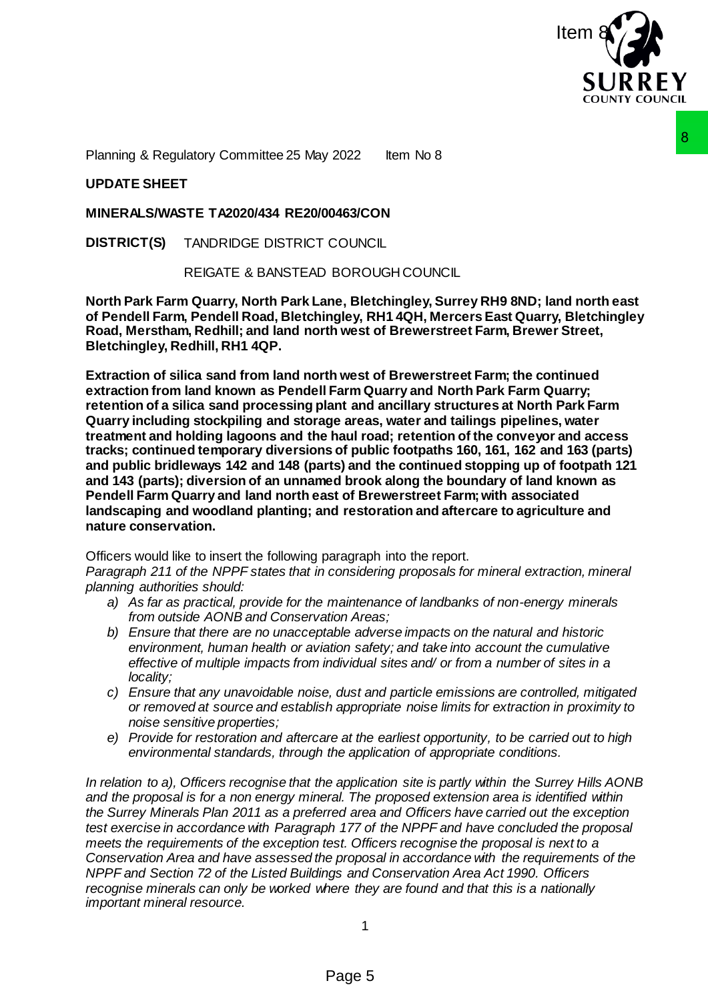

Planning & Regulatory Committee 25 May 2022 Item No 8

# **UPDATE SHEET**

## **MINERALS/WASTE TA2020/434 RE20/00463/CON**

**DISTRICT(S)** TANDRIDGE DISTRICT COUNCIL

REIGATE & BANSTEAD BOROUGH COUNCIL

**North Park Farm Quarry, North Park Lane, Bletchingley, Surrey RH9 8ND; land north east of Pendell Farm, Pendell Road, Bletchingley, RH1 4QH, Mercers East Quarry, Bletchingley Road, Merstham, Redhill; and land north west of Brewerstreet Farm, Brewer Street, Bletchingley, Redhill, RH1 4QP.**

**Extraction of silica sand from land north west of Brewerstreet Farm; the continued extraction from land known as Pendell Farm Quarry and North Park Farm Quarry; retention of a silica sand processing plant and ancillary structures at North Park Farm Quarry including stockpiling and storage areas, water and tailings pipelines, water treatment and holding lagoons and the haul road; retention of the conveyor and access tracks; continued temporary diversions of public footpaths 160, 161, 162 and 163 (parts) and public bridleways 142 and 148 (parts) and the continued stopping up of footpath 121 and 143 (parts); diversion of an unnamed brook along the boundary of land known as Pendell Farm Quarry and land north east of Brewerstreet Farm; with associated landscaping and woodland planting; and restoration and aftercare to agriculture and nature conservation.** 2022 lem No 8<br>
2022 lem No 8<br>
COUNCIL<br>
BOROUGH COUNCIL<br>
Hen, Bletchingley, Surrey RH9 8ND; land north east<br>
ngley, RH1 4QH, Mercers East Quarry, Bletchingley<br>
th west of Brewerstreet Farm, the continued<br>
th west of Brewers

Officers would like to insert the following paragraph into the report.

*Paragraph 211 of the NPPF states that in considering proposals for mineral extraction, mineral planning authorities should:* 

- *a) As far as practical, provide for the maintenance of landbanks of non-energy minerals from outside AONB and Conservation Areas;*
- *b) Ensure that there are no unacceptable adverse impacts on the natural and historic environment, human health or aviation safety; and take into account the cumulative effective of multiple impacts from individual sites and/ or from a number of sites in a locality;*
- *c) Ensure that any unavoidable noise, dust and particle emissions are controlled, mitigated or removed at source and establish appropriate noise limits for extraction in proximity to noise sensitive properties;*
- *e) Provide for restoration and aftercare at the earliest opportunity, to be carried out to high environmental standards, through the application of appropriate conditions.*

*In relation to a), Officers recognise that the application site is partly within the Surrey Hills AONB and the proposal is for a non energy mineral. The proposed extension area is identified within the Surrey Minerals Plan 2011 as a preferred area and Officers have carried out the exception test exercise in accordance with Paragraph 177 of the NPPF and have concluded the proposal meets the requirements of the exception test. Officers recognise the proposal is next to a Conservation Area and have assessed the proposal in accordance with the requirements of the NPPF and Section 72 of the Listed Buildings and Conservation Area Act 1990. Officers recognise minerals can only be worked where they are found and that this is a nationally important mineral resource.*

1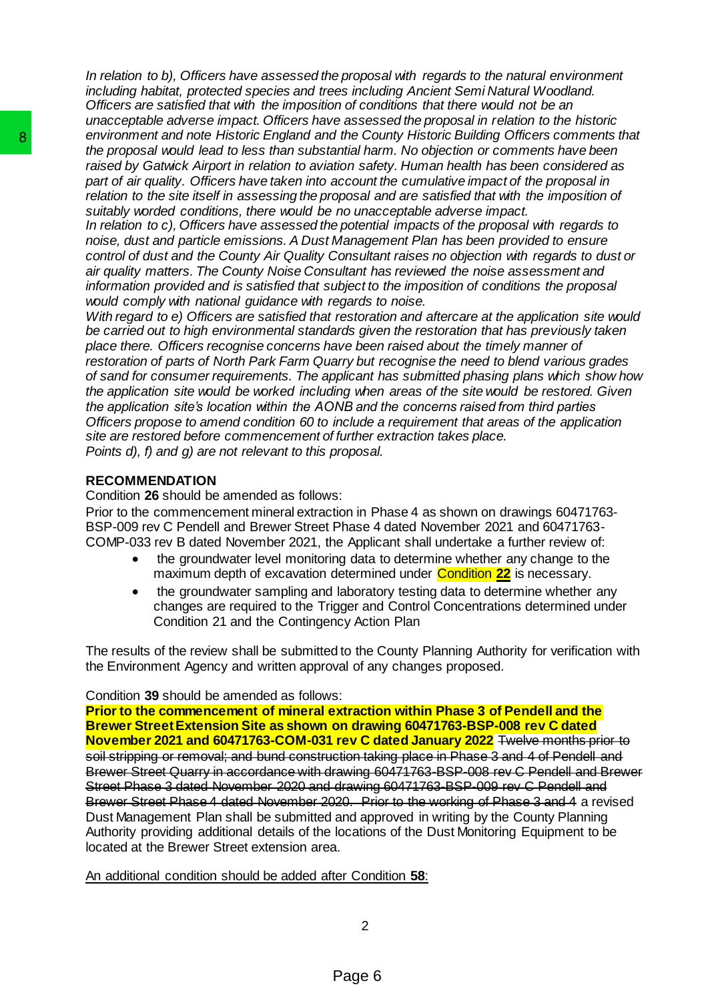*In relation to b), Officers have assessed the proposal with regards to the natural environment including habitat, protected species and trees including Ancient Semi Natural Woodland. Officers are satisfied that with the imposition of conditions that there would not be an unacceptable adverse impact. Officers have assessed the proposal in relation to the historic environment and note Historic England and the County Historic Building Officers comments that the proposal would lead to less than substantial harm. No objection or comments have been raised by Gatwick Airport in relation to aviation safety. Human health has been considered as part of air quality. Officers have taken into account the cumulative impact of the proposal in relation to the site itself in assessing the proposal and are satisfied that with the imposition of suitably worded conditions, there would be no unacceptable adverse impact.* 

*In relation to c), Officers have assessed the potential impacts of the proposal with regards to noise, dust and particle emissions. A Dust Management Plan has been provided to ensure control of dust and the County Air Quality Consultant raises no objection with regards to dust or air quality matters. The County Noise Consultant has reviewed the noise assessment and information provided and is satisfied that subject to the imposition of conditions the proposal would comply with national guidance with regards to noise.* 

*With regard to e) Officers are satisfied that restoration and aftercare at the application site would be carried out to high environmental standards given the restoration that has previously taken place there. Officers recognise concerns have been raised about the timely manner of restoration of parts of North Park Farm Quarry but recognise the need to blend various grades of sand for consumer requirements. The applicant has submitted phasing plans which show how the application site would be worked including when areas of the site would be restored. Given the application site's location within the AONB and the concerns raised from third parties Officers propose to amend condition 60 to include a requirement that areas of the application site are restored before commencement of further extraction takes place. Points d), f) and g) are not relevant to this proposal.* 

# **RECOMMENDATION**

Condition **26** should be amended as follows:

Prior to the commencement mineral extraction in Phase 4 as shown on drawings 60471763- BSP-009 rev C Pendell and Brewer Street Phase 4 dated November 2021 and 60471763- COMP-033 rev B dated November 2021, the Applicant shall undertake a further review of:

- the groundwater level monitoring data to determine whether any change to the maximum depth of excavation determined under Condition **22** is necessary.
- the groundwater sampling and laboratory testing data to determine whether any changes are required to the Trigger and Control Concentrations determined under Condition 21 and the Contingency Action Plan

The results of the review shall be submitted to the County Planning Authority for verification with the Environment Agency and written approval of any changes proposed.

### Condition **39** should be amended as follows:

**Prior to the commencement of mineral extraction within Phase 3 of Pendell and the Brewer Street Extension Site as shown on drawing 60471763-BSP-008 rev C dated November 2021 and 60471763-COM-031 rev C dated January 2022** Twelve months prior to soil stripping or removal; and bund construction taking place in Phase 3 and 4 of Pendell and Brewer Street Quarry in accordance with drawing 60471763-BSP-008 rev C Pendell and Brewer Street Phase 3 dated November 2020 and drawing 60471763-BSP-009 rev C Pendell and Brewer Street Phase 4 dated November 2020. Prior to the working of Phase 3 and 4 a revised Dust Management Plan shall be submitted and approved in writing by the County Planning Authority providing additional details of the locations of the Dust Monitoring Equipment to be located at the Brewer Street extension area. environment and note Historic England and the Constantial random the proposal would lead to less than substantial has raised by Gatwick Airport in relation to aviation safe and part of air quality. Officers have taken into

An additional condition should be added after Condition **58**:

2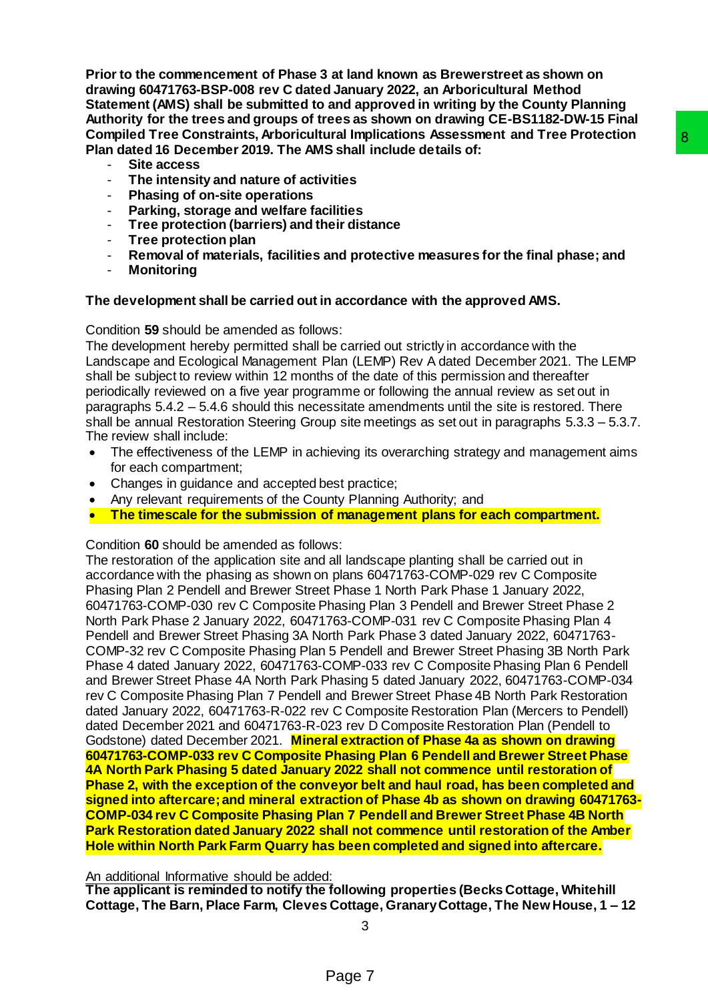**Prior to the commencement of Phase 3 at land known as Brewerstreet as shown on drawing 60471763-BSP-008 rev C dated January 2022, an Arboricultural Method Statement (AMS) shall be submitted to and approved in writing by the County Planning Authority for the trees and groups of trees as shown on drawing CE-BS1182-DW-15 Final Compiled Tree Constraints, Arboricultural Implications Assessment and Tree Protection Plan dated 16 December 2019. The AMS shall include details of:**

- **Site access**
- **The intensity and nature of activities**
- **Phasing of on-site operations**
- **Parking, storage and welfare facilities**
- **Tree protection (barriers) and their distance**
- **Tree protection plan**
- **Removal of materials, facilities and protective measures for the final phase; and**
- **Monitoring**

## **The development shall be carried out in accordance with the approved AMS.**

Condition **59** should be amended as follows:

The development hereby permitted shall be carried out strictly in accordance with the Landscape and Ecological Management Plan (LEMP) Rev A dated December 2021. The LEMP shall be subject to review within 12 months of the date of this permission and thereafter periodically reviewed on a five year programme or following the annual review as set out in paragraphs 5.4.2 – 5.4.6 should this necessitate amendments until the site is restored. There shall be annual Restoration Steering Group site meetings as set out in paragraphs 5.3.3 – 5.3.7. The review shall include:

- The effectiveness of the LEMP in achieving its overarching strategy and management aims for each compartment;
- Changes in guidance and accepted best practice;
- Any relevant requirements of the County Planning Authority; and
- **The timescale for the submission of management plans for each compartment.**

Condition **60** should be amended as follows:

The restoration of the application site and all landscape planting shall be carried out in accordance with the phasing as shown on plans 60471763-COMP-029 rev C Composite Phasing Plan 2 Pendell and Brewer Street Phase 1 North Park Phase 1 January 2022, 60471763-COMP-030 rev C Composite Phasing Plan 3 Pendell and Brewer Street Phase 2 North Park Phase 2 January 2022, 60471763-COMP-031 rev C Composite Phasing Plan 4 Pendell and Brewer Street Phasing 3A North Park Phase 3 dated January 2022, 60471763- COMP-32 rev C Composite Phasing Plan 5 Pendell and Brewer Street Phasing 3B North Park Phase 4 dated January 2022, 60471763-COMP-033 rev C Composite Phasing Plan 6 Pendell and Brewer Street Phase 4A North Park Phasing 5 dated January 2022, 60471763-COMP-034 rev C Composite Phasing Plan 7 Pendell and Brewer Street Phase 4B North Park Restoration dated January 2022, 60471763-R-022 rev C Composite Restoration Plan (Mercers to Pendell) dated December 2021 and 60471763-R-023 rev D Composite Restoration Plan (Pendell to Godstone) dated December 2021. **Mineral extraction of Phase 4a as shown on drawing 60471763-COMP-033 rev C Composite Phasing Plan 6 Pendell and Brewer Street Phase 4A North Park Phasing 5 dated January 2022 shall not commence until restoration of Phase 2, with the exception of the conveyor belt and haul road, has been completed and signed into aftercare; and mineral extraction of Phase 4b as shown on drawing 60471763- COMP-034 rev C Composite Phasing Plan 7 Pendell and Brewer Street Phase 4B North Park Restoration dated January 2022 shall not commence until restoration of the Amber Hole within North Park Farm Quarry has been completed and signed into aftercare.** Infinications assessment and Iree Protection<br>
Schall include details of:<br>
Schall include details of:<br>
Thites<br>
Thitse<br>
Thitse<br>
Schall include details of:<br>
Thitse<br>
secarried out strictly in accordance with the<br>
secarried out

An additional Informative should be added:

**The applicant is reminded to notify the following properties (Becks Cottage, Whitehill Cottage, The Barn, Place Farm, Cleves Cottage, Granary Cottage, The New House, 1 – 12**